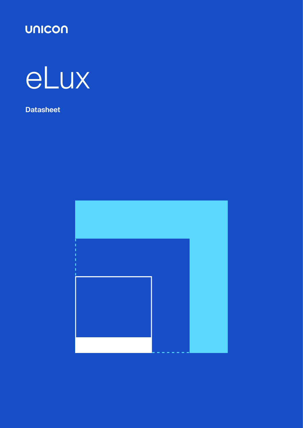



**Datasheet**

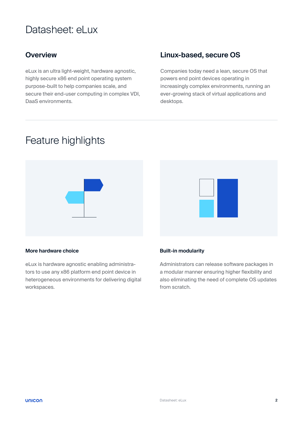# Datasheet: eLux

eLux is an ultra light-weight, hardware agnostic, highly secure x86 end point operating system purpose-built to help companies scale, and secure their end-user computing in complex VDI, DaaS environments.

### **Overview Linux-based, secure OS**

Companies today need a lean, secure OS that powers end point devices operating in increasingly complex environments, running an ever-growing stack of virtual applications and desktops.

# Feature highlights



#### **More hardware choice**

eLux is hardware agnostic enabling administrators to use any x86 platform end point device in heterogeneous environments for delivering digital workspaces.

# **Built-in modularity**

Administrators can release software packages in a modular manner ensuring higher flexibility and also eliminating the need of complete OS updates from scratch.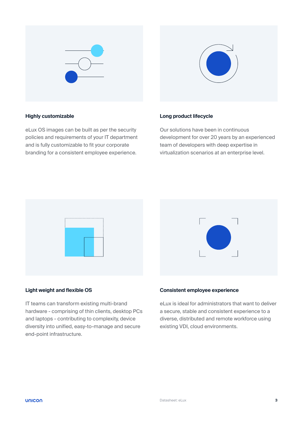



#### **Highly customizable**

eLux OS images can be built as per the security policies and requirements of your IT department and is fully customizable to fit your corporate branding for a consistent employee experience.

#### **Long product lifecycle**

Our solutions have been in continuous development for over 20 years by an experienced team of developers with deep expertise in virtualization scenarios at an enterprise level.





#### **Light weight and flexible OS**

IT teams can transform existing multi-brand hardware - comprising of thin clients, desktop PCs and laptops - contributing to complexity, device diversity into unified, easy-to-manage and secure end-point infrastructure.

#### **Consistent employee experience**

eLux is ideal for administrators that want to deliver a secure, stable and consistent experience to a diverse, distributed and remote workforce using existing VDI, cloud environments.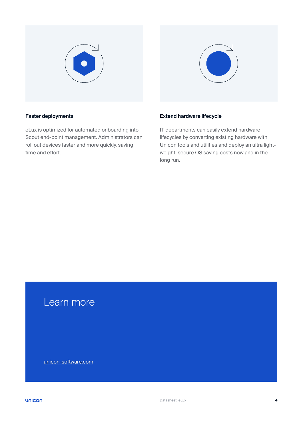



#### **Faster deployments**

eLux is optimized for automated onboarding into Scout end-point management. Administrators can roll out devices faster and more quickly, saving time and effort.

#### **Extend hardware lifecycle**

IT departments can easily extend hardware lifecycles by converting existing hardware with Unicon tools and utilities and deploy an ultra lightweight, secure OS saving costs now and in the long run.

## Learn more

[unicon-software.com](http://unicon-software.com)